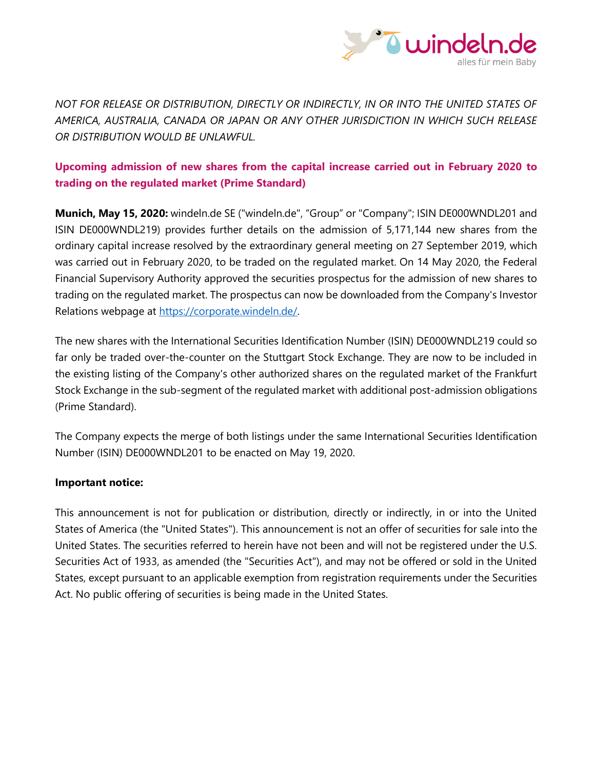

*NOT FOR RELEASE OR DISTRIBUTION, DIRECTLY OR INDIRECTLY, IN OR INTO THE UNITED STATES OF AMERICA, AUSTRALIA, CANADA OR JAPAN OR ANY OTHER JURISDICTION IN WHICH SUCH RELEASE OR DISTRIBUTION WOULD BE UNLAWFUL.*

## **Upcoming admission of new shares from the capital increase carried out in February 2020 to trading on the regulated market (Prime Standard)**

**Munich, May 15, 2020:** windeln.de SE ("windeln.de", "Group" or "Company"; ISIN DE000WNDL201 and ISIN DE000WNDL219) provides further details on the admission of 5,171,144 new shares from the ordinary capital increase resolved by the extraordinary general meeting on 27 September 2019, which was carried out in February 2020, to be traded on the regulated market. On 14 May 2020, the Federal Financial Supervisory Authority approved the securities prospectus for the admission of new shares to trading on the regulated market. The prospectus can now be downloaded from the Company's Investor Relations webpage at [https://corporate.windeln.de/.](https://corporate.windeln.de/)

The new shares with the International Securities Identification Number (ISIN) DE000WNDL219 could so far only be traded over-the-counter on the Stuttgart Stock Exchange. They are now to be included in the existing listing of the Company's other authorized shares on the regulated market of the Frankfurt Stock Exchange in the sub-segment of the regulated market with additional post-admission obligations (Prime Standard).

The Company expects the merge of both listings under the same International Securities Identification Number (ISIN) DE000WNDL201 to be enacted on May 19, 2020.

## **Important notice:**

This announcement is not for publication or distribution, directly or indirectly, in or into the United States of America (the "United States"). This announcement is not an offer of securities for sale into the United States. The securities referred to herein have not been and will not be registered under the U.S. Securities Act of 1933, as amended (the "Securities Act"), and may not be offered or sold in the United States, except pursuant to an applicable exemption from registration requirements under the Securities Act. No public offering of securities is being made in the United States.